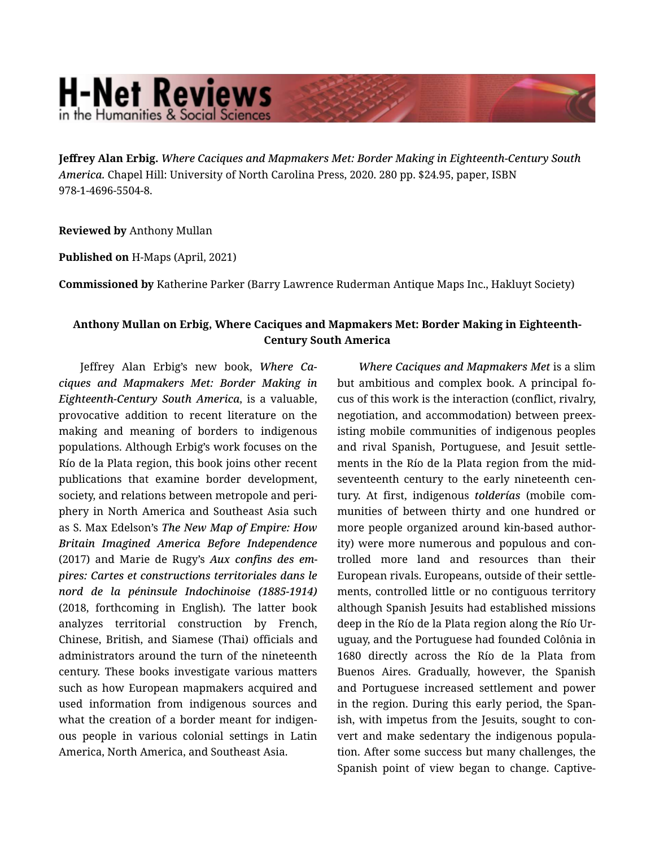## **H-Net Reviews** in the Humanities & Social Scienc

**Jeffrey Alan Erbig.** *Where Caciques and Mapmakers Met: Border Making in Eighteenth-Century South America.* Chapel Hill: University of North Carolina Press, 2020. 280 pp. \$24.95, paper, ISBN 978-1-4696-5504-8.

**Reviewed by** Anthony Mullan

**Published on** H-Maps (April, 2021)

**Commissioned by** Katherine Parker (Barry Lawrence Ruderman Antique Maps Inc., Hakluyt Society)

## **Anthony Mullan on Erbig, Where Caciques and Mapmakers Met: Border Making in Eighteenth-Century South America**

Jeffrey Alan Erbig's new book, *Where Ca‐ ciques and Mapmakers Met: Border Making in Eighteenth-Century South America*, is a valuable, provocative addition to recent literature on the making and meaning of borders to indigenous populations. Although Erbig's work focuses on the Río de la Plata region, this book joins other recent publications that examine border development, society, and relations between metropole and peri‐ phery in North America and Southeast Asia such as S. Max Edelson's *The New Map of Empire: How Britain Imagined America Before Independence* (2017) and Marie de Rugy's *Aux confins des em‐ pires: Cartes et constructions territoriales dans le nord de la péninsule Indochinoise (1885-1914)* (2018, forthcoming in English)*.* The latter book analyzes territorial construction by French, Chinese, British, and Siamese (Thai) officials and administrators around the turn of the nineteenth century. These books investigate various matters such as how European mapmakers acquired and used information from indigenous sources and what the creation of a border meant for indigenous people in various colonial settings in Latin America, North America, and Southeast Asia.

*Where Caciques and Mapmakers Met* is a slim but ambitious and complex book. A principal fo‐ cus of this work is the interaction (conflict, rivalry, negotiation, and accommodation) between preex‐ isting mobile communities of indigenous peoples and rival Spanish, Portuguese, and Jesuit settle‐ ments in the Río de la Plata region from the midseventeenth century to the early nineteenth cen‐ tury. At first, indigenous *tolderías* (mobile com‐ munities of between thirty and one hundred or more people organized around kin-based author‐ ity) were more numerous and populous and con‐ trolled more land and resources than their European rivals. Europeans, outside of their settle‐ ments, controlled little or no contiguous territory although Spanish Jesuits had established missions deep in the Río de la Plata region along the Río Ur‐ uguay, and the Portuguese had founded Colônia in 1680 directly across the Río de la Plata from Buenos Aires. Gradually, however, the Spanish and Portuguese increased settlement and power in the region. During this early period, the Span‐ ish, with impetus from the Jesuits, sought to con‐ vert and make sedentary the indigenous popula‐ tion. After some success but many challenges, the Spanish point of view began to change. Captive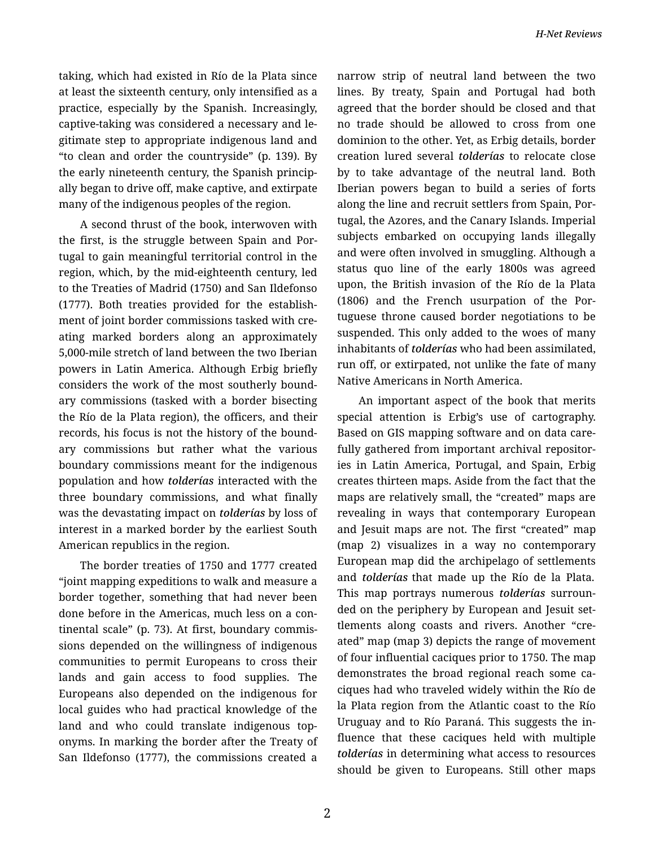taking, which had existed in Río de la Plata since at least the sixteenth century, only intensified as a practice, especially by the Spanish. Increasingly, captive-taking was considered a necessary and le‐ gitimate step to appropriate indigenous land and "to clean and order the countryside" (p. 139). By the early nineteenth century, the Spanish princip‐ ally began to drive off, make captive, and extirpate many of the indigenous peoples of the region.

A second thrust of the book, interwoven with the first, is the struggle between Spain and Por‐ tugal to gain meaningful territorial control in the region, which, by the mid-eighteenth century, led to the Treaties of Madrid (1750) and San Ildefonso (1777). Both treaties provided for the establish‐ ment of joint border commissions tasked with creating marked borders along an approximately 5,000-mile stretch of land between the two Iberian powers in Latin America. Although Erbig briefly considers the work of the most southerly bound‐ ary commissions (tasked with a border bisecting the Río de la Plata region), the officers, and their records, his focus is not the history of the bound‐ ary commissions but rather what the various boundary commissions meant for the indigenous population and how *tolderías* interacted with the three boundary commissions, and what finally was the devastating impact on *tolderías* by loss of interest in a marked border by the earliest South American republics in the region.

The border treaties of 1750 and 1777 created "joint mapping expeditions to walk and measure a border together, something that had never been done before in the Americas, much less on a con‐ tinental scale" (p. 73). At first, boundary commis‐ sions depended on the willingness of indigenous communities to permit Europeans to cross their lands and gain access to food supplies. The Europeans also depended on the indigenous for local guides who had practical knowledge of the land and who could translate indigenous toponyms. In marking the border after the Treaty of San Ildefonso (1777), the commissions created a narrow strip of neutral land between the two lines. By treaty, Spain and Portugal had both agreed that the border should be closed and that no trade should be allowed to cross from one dominion to the other. Yet, as Erbig details, border creation lured several *tolderías* to relocate close by to take advantage of the neutral land. Both Iberian powers began to build a series of forts along the line and recruit settlers from Spain, Por‐ tugal, the Azores, and the Canary Islands. Imperial subjects embarked on occupying lands illegally and were often involved in smuggling. Although a status quo line of the early 1800s was agreed upon, the British invasion of the Río de la Plata (1806) and the French usurpation of the Por‐ tuguese throne caused border negotiations to be suspended. This only added to the woes of many inhabitants of *tolderías* who had been assimilated, run off, or extirpated, not unlike the fate of many Native Americans in North America.

An important aspect of the book that merits special attention is Erbig's use of cartography. Based on GIS mapping software and on data care‐ fully gathered from important archival repositories in Latin America, Portugal, and Spain, Erbig creates thirteen maps. Aside from the fact that the maps are relatively small, the "created" maps are revealing in ways that contemporary European and Jesuit maps are not. The first "created" map (map 2) visualizes in a way no contemporary European map did the archipelago of settlements and *tolderías* that made up the Río de la Plata. This map portrays numerous *tolderías* surroun‐ ded on the periphery by European and Jesuit set‐ tlements along coasts and rivers. Another "cre‐ ated" map (map 3) depicts the range of movement of four influential caciques prior to 1750. The map demonstrates the broad regional reach some ca‐ ciques had who traveled widely within the Río de la Plata region from the Atlantic coast to the Río Uruguay and to Río Paraná. This suggests the in‐ fluence that these caciques held with multiple *tolderías* in determining what access to resources should be given to Europeans. Still other maps